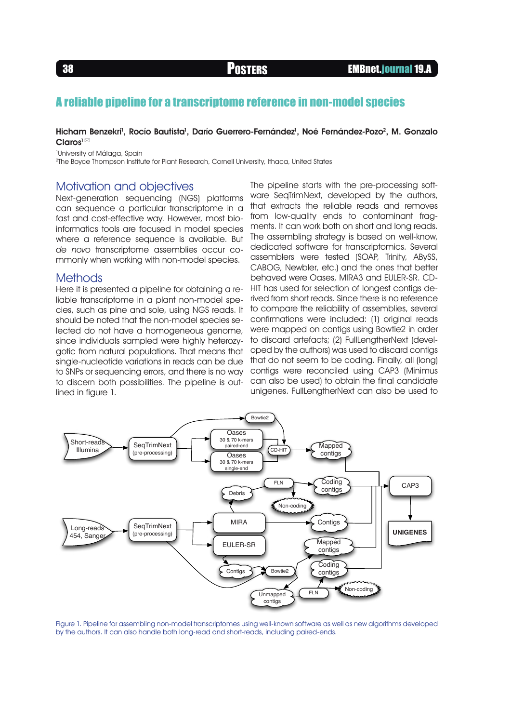## A reliable pipeline for a transcriptome reference in non-model species

#### Hicham Benzekri<sup>1</sup>, Rocío Bautista<sup>1</sup>, Darío Guerrero-Fernández<sup>1</sup>, Noé Fernández-Pozo<sup>2</sup>, M. Gonzalo Claros<sup>1</sup>

1 University of Málaga, Spain

2The Boyce Thompson Institute for Plant Research, Cornell University, Ithaca, United States

### Motivation and objectives

Next-generation sequencing (NGS) platforms can sequence a particular transcriptome in a fast and cost-effective way. However, most bioinformatics tools are focused in model species where a reference sequence is available. But de novo transcriptome assemblies occur commonly when working with non-model species.

#### **Methods**

Here it is presented a pipeline for obtaining a reliable transcriptome in a plant non-model species, such as pine and sole, using NGS reads. It should be noted that the non-model species selected do not have a homogeneous genome, since individuals sampled were highly heterozygotic from natural populations. That means that single-nucleotide variations in reads can be due to SNPs or sequencing errors, and there is no way to discern both possibilities. The pipeline is outlined in figure 1.

The pipeline starts with the pre-processing software SeaTrimNext, developed by the authors, that extracts the reliable reads and removes from low-quality ends to contaminant fragments. It can work both on short and long reads. The assembling strategy is based on well-know, dedicated software for transcriptomics. Several assemblers were tested (SOAP, Trinity, ABySS, CABOG, Newbler, etc.) and the ones that better behaved were Oases, MIRA3 and EULER-SR. CD-HIT has used for selection of longest contigs derived from short reads. Since there is no reference to compare the reliability of assemblies, several confirmations were included: (1) original reads were mapped on contigs using Bowtie2 in order to discard artefacts; (2) FullLengtherNext (developed by the authors) was used to discard contigs that do not seem to be coding. Finally, all (long) contigs were reconciled using CAP3 (Minimus can also be used) to obtain the final candidate unigenes. FullLengtherNext can also be used to



Figure 1. Pipeline for assembling non-model transcriptomes using well-known software as well as new algorithms developed by the authors. It can also handle both long-read and short-reads, including paired-ends.